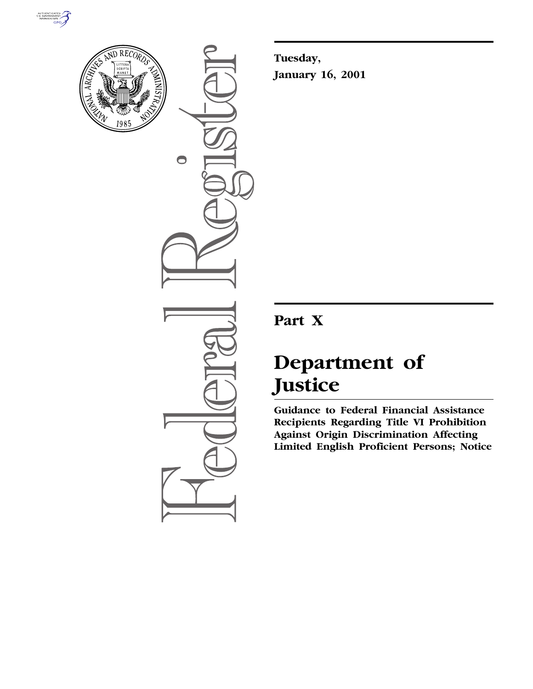



 $\bullet$ 

**Tuesday, January 16, 2001**

# **Part X**

# **Department of Justice**

**Guidance to Federal Financial Assistance Recipients Regarding Title VI Prohibition Against Origin Discrimination Affecting Limited English Proficient Persons; Notice**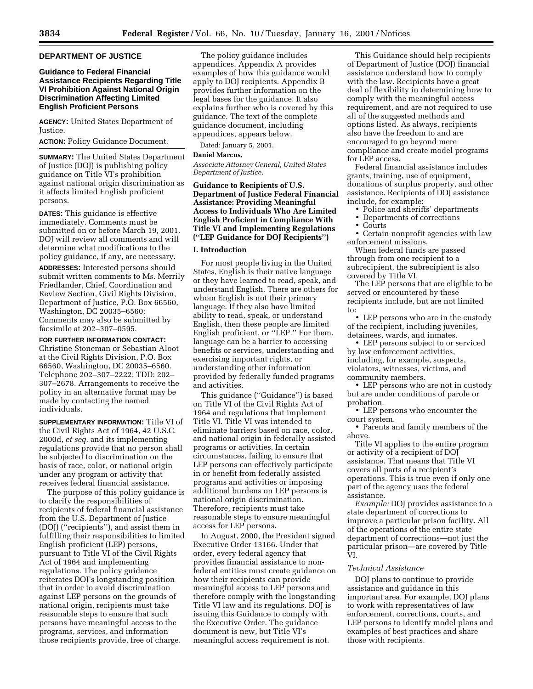# **DEPARTMENT OF JUSTICE**

# **Guidance to Federal Financial Assistance Recipients Regarding Title VI Prohibition Against National Origin Discrimination Affecting Limited English Proficient Persons**

**AGENCY:** United States Department of Justice.

**ACTION:** Policy Guidance Document.

**SUMMARY:** The United States Department of Justice (DOJ) is publishing policy guidance on Title VI's prohibition against national origin discrimination as it affects limited English proficient persons.

**DATES:** This guidance is effective immediately. Comments must be submitted on or before March 19, 2001. DOJ will review all comments and will determine what modifications to the policy guidance, if any, are necessary.

**ADDRESSES:** Interested persons should submit written comments to Ms. Merrily Friedlander, Chief, Coordination and Review Section, Civil Rights Division, Department of Justice, P.O. Box 66560, Washington, DC 20035–6560; Comments may also be submitted by facsimile at 202–307–0595.

**FOR FURTHER INFORMATION CONTACT:**

Christine Stoneman or Sebastian Aloot at the Civil Rights Division, P.O. Box 66560, Washington, DC 20035–6560. Telephone 202–307–2222; TDD: 202– 307–2678. Arrangements to receive the policy in an alternative format may be made by contacting the named individuals.

**SUPPLEMENTARY INFORMATION:** Title VI of the Civil Rights Act of 1964, 42 U.S.C. 2000d, *et seq.* and its implementing regulations provide that no person shall be subjected to discrimination on the basis of race, color, or national origin under any program or activity that receives federal financial assistance.

The purpose of this policy guidance is to clarify the responsibilities of recipients of federal financial assistance from the U.S. Department of Justice (DOJ) (''recipients''), and assist them in fulfilling their responsibilities to limited English proficient (LEP) persons, pursuant to Title VI of the Civil Rights Act of 1964 and implementing regulations. The policy guidance reiterates DOJ's longstanding position that in order to avoid discrimination against LEP persons on the grounds of national origin, recipients must take reasonable steps to ensure that such persons have meaningful access to the programs, services, and information those recipients provide, free of charge.

The policy guidance includes appendices. Appendix A provides examples of how this guidance would apply to DOJ recipients. Appendix B provides further information on the legal bases for the guidance. It also explains further who is covered by this guidance. The text of the complete guidance document, including appendices, appears below.

Dated: January 5, 2001.

#### **Daniel Marcus,**

*Associate Attorney General, United States Department of Justice.*

**Guidance to Recipients of U.S. Department of Justice Federal Financial Assistance: Providing Meaningful Access to Individuals Who Are Limited English Proficient in Compliance With Title VI and Implementing Regulations (''LEP Guidance for DOJ Recipients'')**

### **I. Introduction**

For most people living in the United States, English is their native language or they have learned to read, speak, and understand English. There are others for whom English is not their primary language. If they also have limited ability to read, speak, or understand English, then these people are limited English proficient, or ''LEP.'' For them, language can be a barrier to accessing benefits or services, understanding and exercising important rights, or understanding other information provided by federally funded programs and activities.

This guidance (''Guidance'') is based on Title VI of the Civil Rights Act of 1964 and regulations that implement Title VI. Title VI was intended to eliminate barriers based on race, color, and national origin in federally assisted programs or activities. In certain circumstances, failing to ensure that LEP persons can effectively participate in or benefit from federally assisted programs and activities or imposing additional burdens on LEP persons is national origin discrimination. Therefore, recipients must take reasonable steps to ensure meaningful access for LEP persons.

In August, 2000, the President signed Executive Order 13166. Under that order, every federal agency that provides financial assistance to nonfederal entities must create guidance on how their recipients can provide meaningful access to LEP persons and therefore comply with the longstanding Title VI law and its regulations. DOJ is issuing this Guidance to comply with the Executive Order. The guidance document is new, but Title VI's meaningful access requirement is not.

This Guidance should help recipients of Department of Justice (DOJ) financial assistance understand how to comply with the law. Recipients have a great deal of flexibility in determining how to comply with the meaningful access requirement, and are not required to use all of the suggested methods and options listed. As always, recipients also have the freedom to and are encouraged to go beyond mere compliance and create model programs for LEP access.

Federal financial assistance includes grants, training, use of equipment, donations of surplus property, and other assistance. Recipients of DOJ assistance include, for example:

- Police and sheriffs' departments
- Departments of corrections
- Courts

• Certain nonprofit agencies with law enforcement missions.

When federal funds are passed through from one recipient to a subrecipient, the subrecipient is also covered by Title VI.

The LEP persons that are eligible to be served or encountered by these recipients include, but are not limited to:

• LEP persons who are in the custody of the recipient, including juveniles, detainees, wards, and inmates.

• LEP persons subject to or serviced by law enforcement activities, including, for example, suspects, violators, witnesses, victims, and community members.

• LEP persons who are not in custody but are under conditions of parole or probation.

• LEP persons who encounter the court system.

• Parents and family members of the above.

Title VI applies to the entire program or activity of a recipient of DOJ assistance. That means that Title VI covers all parts of a recipient's operations. This is true even if only one part of the agency uses the federal assistance.

*Example:* DOJ provides assistance to a state department of corrections to improve a particular prison facility. All of the operations of the entire state department of corrections—not just the particular prison—are covered by Title VI.

## *Technical Assistance*

DOJ plans to continue to provide assistance and guidance in this important area. For example, DOJ plans to work with representatives of law enforcement, corrections, courts, and LEP persons to identify model plans and examples of best practices and share those with recipients.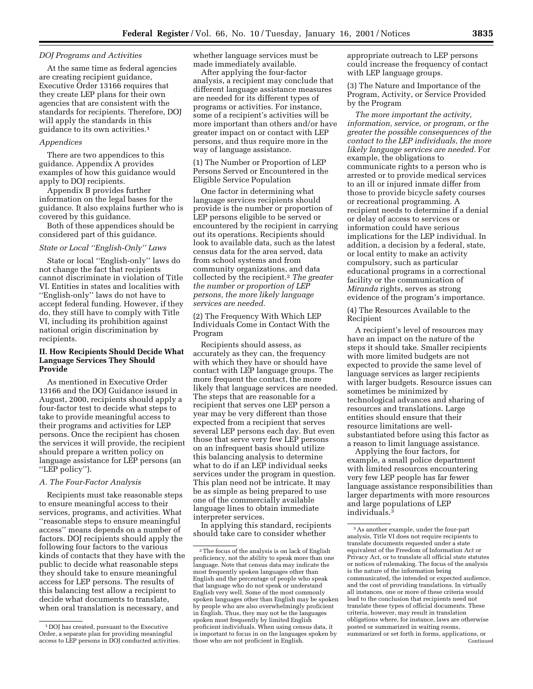#### *DOJ Programs and Activities*

At the same time as federal agencies are creating recipient guidance, Executive Order 13166 requires that they create LEP plans for their own agencies that are consistent with the standards for recipients. Therefore, DOJ will apply the standards in this guidance to its own activities.1

# *Appendices*

There are two appendices to this guidance. Appendix A provides examples of how this guidance would apply to DOJ recipients.

Appendix B provides further information on the legal bases for the guidance. It also explains further who is covered by this guidance.

Both of these appendices should be considered part of this guidance.

# *State or Local ''English-Only'' Laws*

State or local ''English-only'' laws do not change the fact that recipients cannot discriminate in violation of Title VI. Entities in states and localities with ''English-only'' laws do not have to accept federal funding. However, if they do, they still have to comply with Title VI, including its prohibition against national origin discrimination by recipients.

# **II. How Recipients Should Decide What Language Services They Should Provide**

As mentioned in Executive Order 13166 and the DOJ Guidance issued in August, 2000, recipients should apply a four-factor test to decide what steps to take to provide meaningful access to their programs and activities for LEP persons. Once the recipient has chosen the services it will provide, the recipient should prepare a written policy on language assistance for LEP persons (an ''LEP policy'').

# *A. The Four-Factor Analysis*

Recipients must take reasonable steps to ensure meaningful access to their services, programs, and activities. What ''reasonable steps to ensure meaningful access'' means depends on a number of factors. DOJ recipients should apply the following four factors to the various kinds of contacts that they have with the public to decide what reasonable steps they should take to ensure meaningful access for LEP persons. The results of this balancing test allow a recipient to decide what documents to translate, when oral translation is necessary, and

whether language services must be made immediately available.

After applying the four-factor analysis, a recipient may conclude that different language assistance measures are needed for its different types of programs or activities. For instance, some of a recipient's activities will be more important than others and/or have greater impact on or contact with LEP persons, and thus require more in the way of language assistance.

(1) The Number or Proportion of LEP Persons Served or Encountered in the Eligible Service Population

One factor in determining what language services recipients should provide is the number or proportion of LEP persons eligible to be served or encountered by the recipient in carrying out its operations. Recipients should look to available data, such as the latest census data for the area served, data from school systems and from community organizations, and data collected by the recipient.2 *The greater the number or proportion of LEP persons, the more likely language services are needed.*

(2) The Frequency With Which LEP Individuals Come in Contact With the Program

Recipients should assess, as accurately as they can, the frequency with which they have or should have contact with LEP language groups. The more frequent the contact, the more likely that language services are needed. The steps that are reasonable for a recipient that serves one LEP person a year may be very different than those expected from a recipient that serves several LEP persons each day. But even those that serve very few LEP persons on an infrequent basis should utilize this balancing analysis to determine what to do if an LEP individual seeks services under the program in question. This plan need not be intricate. It may be as simple as being prepared to use one of the commercially available language lines to obtain immediate interpreter services.

In applying this standard, recipients should take care to consider whether

appropriate outreach to LEP persons could increase the frequency of contact with LEP language groups.

(3) The Nature and Importance of the Program, Activity, or Service Provided by the Program

*The more important the activity, information, service, or program, or the greater the possible consequences of the contact to the LEP individuals, the more likely language services are needed.* For example, the obligations to communicate rights to a person who is arrested or to provide medical services to an ill or injured inmate differ from those to provide bicycle safety courses or recreational programming. A recipient needs to determine if a denial or delay of access to services or information could have serious implications for the LEP individual. In addition, a decision by a federal, state, or local entity to make an activity compulsory, such as particular educational programs in a correctional facility or the communication of *Miranda* rights, serves as strong evidence of the program's importance.

(4) The Resources Available to the Recipient

A recipient's level of resources may have an impact on the nature of the steps it should take. Smaller recipients with more limited budgets are not expected to provide the same level of language services as larger recipients with larger budgets. Resource issues can sometimes be minimized by technological advances and sharing of resources and translations. Large entities should ensure that their resource limitations are wellsubstantiated before using this factor as a reason to limit language assistance.

Applying the four factors, for example, a small police department with limited resources encountering very few LEP people has far fewer language assistance responsibilities than larger departments with more resources and large populations of LEP individuals.3

<sup>1</sup> DOJ has created, pursuant to the Executive Order, a separate plan for providing meaningful access to LEP persons in DOJ conducted activities.

<sup>2</sup>The focus of the analysis is on lack of English proficiency, not the ability to speak more than one language. Note that census data may indicate the most frequently spoken languages other than English and the percentage of people who speak that language who do not speak or understand English very well. Some of the most commonly spoken languages other than English may be spoken by people who are also overwhelmingly proficient in English. Thus, they may not be the languages spoken most frequently by limited English proficient individuals. When using census data, it is important to focus in on the languages spoken by those who are not proficient in English.

<sup>3</sup>As another example, under the four-part analysis, Title VI does not require recipients to translate documents requested under a state equivalent of the Freedom of Information Act or Privacy Act, or to translate all official state statutes or notices of rulemaking. The focus of the analysis is the nature of the information being communicated, the intended or expected audience, and the cost of providing translations. In virtually all instances, one or more of these criteria would lead to the conclusion that recipients need not translate these types of official documents. These criteria, however, may result in translation obligations where, for instance, laws are otherwise posted or summarized in waiting rooms, summarized or set forth in forms, applications, or Continued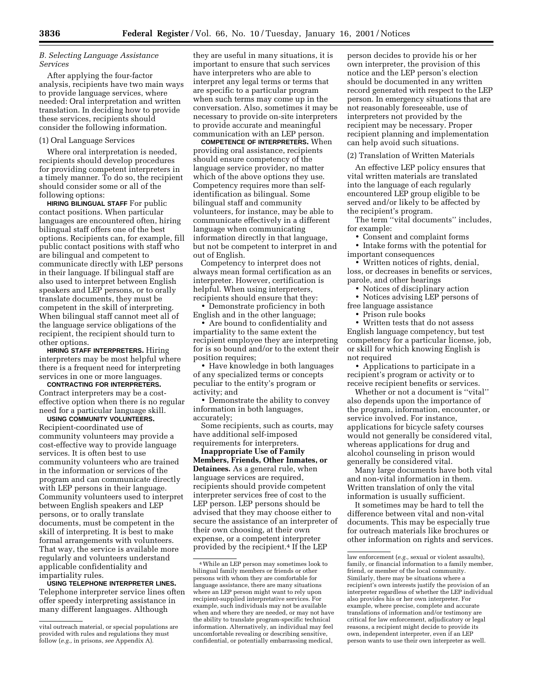# *B. Selecting Language Assistance Services*

After applying the four-factor analysis, recipients have two main ways to provide language services, where needed: Oral interpretation and written translation. In deciding how to provide these services, recipients should consider the following information.

#### (1) Oral Language Services

Where oral interpretation is needed, recipients should develop procedures for providing competent interpreters in a timely manner. To do so, the recipient should consider some or all of the following options:

**HIRING BILINGUAL STAFF** For public contact positions. When particular languages are encountered often, hiring bilingual staff offers one of the best options. Recipients can, for example, fill public contact positions with staff who are bilingual and competent to communicate directly with LEP persons in their language. If bilingual staff are also used to interpret between English speakers and LEP persons, or to orally translate documents, they must be competent in the skill of interpreting. When bilingual staff cannot meet all of the language service obligations of the recipient, the recipient should turn to other options.

**HIRING STAFF INTERPRETERS.** Hiring interpreters may be most helpful where there is a frequent need for interpreting services in one or more languages.

**CONTRACTING FOR INTERPRETERS.**

Contract interpreters may be a costeffective option when there is no regular need for a particular language skill.

**USING COMMUNITY VOLUNTEERS.** Recipient-coordinated use of community volunteers may provide a cost-effective way to provide language services. It is often best to use community volunteers who are trained in the information or services of the program and can communicate directly with LEP persons in their language. Community volunteers used to interpret between English speakers and LEP persons, or to orally translate documents, must be competent in the skill of interpreting. It is best to make formal arrangements with volunteers. That way, the service is available more regularly and volunteers understand applicable confidentiality and impartiality rules.

**USING TELEPHONE INTERPRETER LINES.** Telephone interpreter service lines often offer speedy interpreting assistance in many different languages. Although

they are useful in many situations, it is important to ensure that such services have interpreters who are able to interpret any legal terms or terms that are specific to a particular program when such terms may come up in the conversation. Also, sometimes it may be necessary to provide on-site interpreters to provide accurate and meaningful communication with an LEP person.

**COMPETENCE OF INTERPRETERS.** When providing oral assistance, recipients should ensure competency of the language service provider, no matter which of the above options they use. Competency requires more than selfidentification as bilingual. Some bilingual staff and community volunteers, for instance, may be able to communicate effectively in a different language when communicating information directly in that language, but not be competent to interpret in and out of English.

Competency to interpret does not always mean formal certification as an interpreter. However, certification is helpful. When using interpreters, recipients should ensure that they:

• Demonstrate proficiency in both English and in the other language;

• Are bound to confidentiality and impartiality to the same extent the recipient employee they are interpreting for is so bound and/or to the extent their position requires;

• Have knowledge in both languages of any specialized terms or concepts peculiar to the entity's program or activity; and

• Demonstrate the ability to convey information in both languages, accurately;

Some recipients, such as courts, may have additional self-imposed requirements for interpreters.

**Inappropriate Use of Family Members, Friends, Other Inmates, or Detainees.** As a general rule, when language services are required, recipients should provide competent interpreter services free of cost to the LEP person. LEP persons should be advised that they may choose either to secure the assistance of an interpreter of their own choosing, at their own expense, or a competent interpreter provided by the recipient.4 If the LEP

person decides to provide his or her own interpreter, the provision of this notice and the LEP person's election should be documented in any written record generated with respect to the LEP person. In emergency situations that are not reasonably foreseeable, use of interpreters not provided by the recipient may be necessary. Proper recipient planning and implementation can help avoid such situations.

(2) Translation of Written Materials

An effective LEP policy ensures that vital written materials are translated into the language of each regularly encountered LEP group eligible to be served and/or likely to be affected by the recipient's program.

The term ''vital documents'' includes, for example:

• Consent and complaint forms

• Intake forms with the potential for important consequences

• Written notices of rights, denial, loss, or decreases in benefits or services, parole, and other hearings

• Notices of disciplinary action

• Notices advising LEP persons of free language assistance

• Prison rule books

• Written tests that do not assess English language competency, but test competency for a particular license, job, or skill for which knowing English is not required

• Applications to participate in a recipient's program or activity or to receive recipient benefits or services.

Whether or not a document is ''vital'' also depends upon the importance of the program, information, encounter, or service involved. For instance, applications for bicycle safety courses would not generally be considered vital, whereas applications for drug and alcohol counseling in prison would generally be considered vital.

Many large documents have both vital and non-vital information in them. Written translation of only the vital information is usually sufficient.

It sometimes may be hard to tell the difference between vital and non-vital documents. This may be especially true for outreach materials like brochures or other information on rights and services.

vital outreach material, or special populations are provided with rules and regulations they must follow (*e.g.,* in prisons, *see* Appendix A).

<sup>4</sup>While an LEP person may sometimes look to bilingual family members or friends or other persons with whom they are comfortable for language assistance, there are many situations where an LEP person might want to rely upon recipient-supplied interpretative services. For example, such individuals may not be available when and where they are needed, or may not have the ability to translate program-specific technical information. Alternatively, an individual may feel uncomfortable revealing or describing sensitive, confidential, or potentially embarrassing medical,

law enforcement (*e.g.,* sexual or violent assaults), family, or financial information to a family member, friend, or member of the local community. Similarly, there may be situations where a recipient's own interests justify the provision of an interpreter regardless of whether the LEP individual also provides his or her own interpreter. For example, where precise, complete and accurate translations of information and/or testimony are critical for law enforcement, adjudicatory or legal reasons, a recipient might decide to provide its own, independent interpreter, even if an LEP person wants to use their own interpreter as well.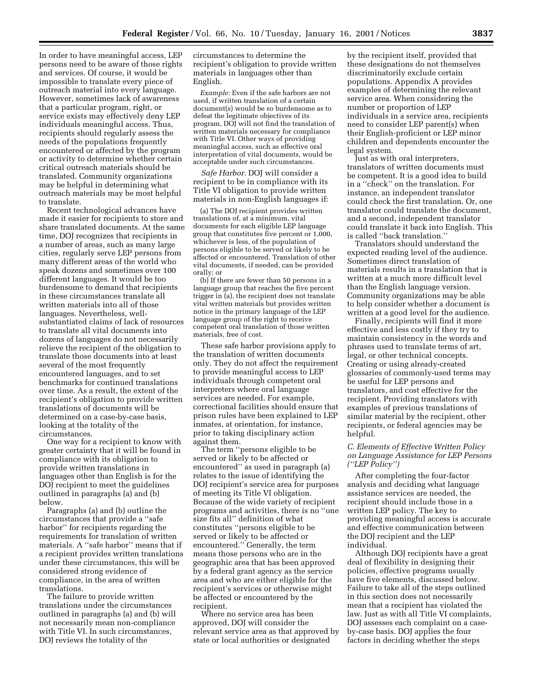In order to have meaningful access, LEP persons need to be aware of those rights and services. Of course, it would be impossible to translate every piece of outreach material into every language. However, sometimes lack of awareness that a particular program, right, or service exists may effectively deny LEP individuals meaningful access. Thus, recipients should regularly assess the needs of the populations frequently encountered or affected by the program or activity to determine whether certain critical outreach materials should be translated. Community organizations may be helpful in determining what outreach materials may be most helpful to translate.

Recent technological advances have made it easier for recipients to store and share translated documents. At the same time, DOJ recognizes that recipients in a number of areas, such as many large cities, regularly serve LEP persons from many different areas of the world who speak dozens and sometimes over 100 different languages. It would be too burdensome to demand that recipients in these circumstances translate all written materials into all of those languages. Nevertheless, wellsubstantiated claims of lack of resources to translate all vital documents into dozens of languages do not necessarily relieve the recipient of the obligation to translate those documents into at least several of the most frequently encountered languages, and to set benchmarks for continued translations over time. As a result, the extent of the recipient's obligation to provide written translations of documents will be determined on a case-by-case basis, looking at the totality of the circumstances.

One way for a recipient to know with greater certainty that it will be found in compliance with its obligation to provide written translations in languages other than English is for the DOJ recipient to meet the guidelines outlined in paragraphs (a) and (b) below.

Paragraphs (a) and (b) outline the circumstances that provide a ''safe harbor'' for recipients regarding the requirements for translation of written materials. A ''safe harbor'' means that if a recipient provides written translations under these circumstances, this will be considered strong evidence of compliance, in the area of written translations.

The failure to provide written translations under the circumstances outlined in paragraphs (a) and (b) will not necessarily mean non-compliance with Title VI. In such circumstances, DOJ reviews the totality of the

circumstances to determine the recipient's obligation to provide written materials in languages other than English.

*Example:* Even if the safe harbors are not used, if written translation of a certain document(s) would be so burdensome as to defeat the legitimate objectives of its program, DOJ will not find the translation of written materials necessary for compliance with Title VI. Other ways of providing meaningful access, such as effective oral interpretation of vital documents, would be acceptable under such circumstances.

*Safe Harbor.* DOJ will consider a recipient to be in compliance with its Title VI obligation to provide written materials in non-English languages if:

(a) The DOJ recipient provides written translations of, at a minimum, vital documents for each eligible LEP language group that constitutes five percent or 1,000, whichever is less, of the population of persons eligible to be served or likely to be affected or encountered. Translation of other vital documents, if needed, can be provided orally; or

(b) If there are fewer than 50 persons in a language group that reaches the five percent trigger in (a), the recipient does not translate vital written materials but provides written notice in the primary language of the LEP language group of the right to receive competent oral translation of those written materials, free of cost.

These safe harbor provisions apply to the translation of written documents only. They do not affect the requirement to provide meaningful access to LEP individuals through competent oral interpreters where oral language services are needed. For example, correctional facilities should ensure that prison rules have been explained to LEP inmates, at orientation, for instance, prior to taking disciplinary action against them.

The term ''persons eligible to be served or likely to be affected or encountered'' as used in paragraph (a) relates to the issue of identifying the DOJ recipient's service area for purposes of meeting its Title VI obligation. Because of the wide variety of recipient programs and activities, there is no ''one size fits all'' definition of what constitutes ''persons eligible to be served or likely to be affected or encountered.'' Generally, the term means those persons who are in the geographic area that has been approved by a federal grant agency as the service area and who are either eligible for the recipient's services or otherwise might be affected or encountered by the recipient.

Where no service area has been approved, DOJ will consider the relevant service area as that approved by state or local authorities or designated

by the recipient itself, provided that these designations do not themselves discriminatorily exclude certain populations. Appendix A provides examples of determining the relevant service area. When considering the number or proportion of LEP individuals in a service area, recipients need to consider LEP parent(s) when their English-proficient or LEP minor children and dependents encounter the legal system.

Just as with oral interpreters, translators of written documents must be competent. It is a good idea to build in a ''check'' on the translation. For instance, an independent translator could check the first translation. Or, one translator could translate the document, and a second, independent translator could translate it back into English. This is called ''back translation.''

Translators should understand the expected reading level of the audience. Sometimes direct translation of materials results in a translation that is written at a much more difficult level than the English language version. Community organizations may be able to help consider whether a document is written at a good level for the audience.

Finally, recipients will find it more effective and less costly if they try to maintain consistency in the words and phrases used to translate terms of art, legal, or other technical concepts. Creating or using already-created glossaries of commonly-used terms may be useful for LEP persons and translators, and cost effective for the recipient. Providing translators with examples of previous translations of similar material by the recipient, other recipients, or federal agencies may be helpful.

# *C. Elements of Effective Written Policy on Language Assistance for LEP Persons (''LEP Policy'')*

After completing the four-factor analysis and deciding what language assistance services are needed, the recipient should include those in a written LEP policy. The key to providing meaningful access is accurate and effective communication between the DOJ recipient and the LEP individual.

Although DOJ recipients have a great deal of flexibility in designing their policies, effective programs usually have five elements, discussed below. Failure to take all of the steps outlined in this section does not necessarily mean that a recipient has violated the law. Just as with all Title VI complaints, DOJ assesses each complaint on a caseby-case basis. DOJ applies the four factors in deciding whether the steps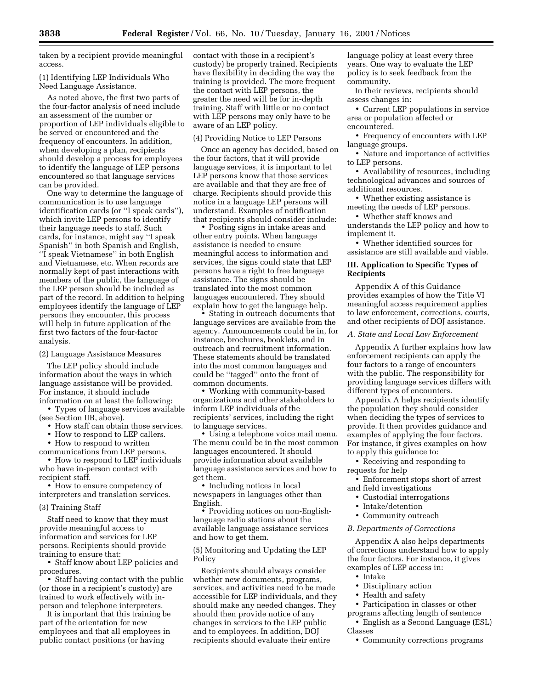taken by a recipient provide meaningful access.

(1) Identifying LEP Individuals Who Need Language Assistance.

As noted above, the first two parts of the four-factor analysis of need include an assessment of the number or proportion of LEP individuals eligible to be served or encountered and the frequency of encounters. In addition, when developing a plan, recipients should develop a process for employees to identify the language of LEP persons encountered so that language services can be provided.

One way to determine the language of communication is to use language identification cards (or ''I speak cards''), which invite LEP persons to identify their language needs to staff. Such cards, for instance, might say ''I speak Spanish'' in both Spanish and English, ''I speak Vietnamese'' in both English and Vietnamese, etc. When records are normally kept of past interactions with members of the public, the language of the LEP person should be included as part of the record. In addition to helping employees identify the language of LEP persons they encounter, this process will help in future application of the first two factors of the four-factor analysis.

(2) Language Assistance Measures

The LEP policy should include information about the ways in which language assistance will be provided. For instance, it should include information on at least the following:

• Types of language services available (see Section IIB, above).

- How staff can obtain those services.
- How to respond to LEP callers.

• How to respond to written communications from LEP persons.

• How to respond to LEP individuals who have in-person contact with recipient staff.

• How to ensure competency of interpreters and translation services.

# (3) Training Staff

Staff need to know that they must provide meaningful access to information and services for LEP persons. Recipients should provide training to ensure that:

• Staff know about LEP policies and procedures.

• Staff having contact with the public (or those in a recipient's custody) are trained to work effectively with inperson and telephone interpreters.

It is important that this training be part of the orientation for new employees and that all employees in public contact positions (or having

contact with those in a recipient's custody) be properly trained. Recipients have flexibility in deciding the way the training is provided. The more frequent the contact with LEP persons, the greater the need will be for in-depth training. Staff with little or no contact with LEP persons may only have to be aware of an LEP policy.

#### (4) Providing Notice to LEP Persons

Once an agency has decided, based on the four factors, that it will provide language services, it is important to let LEP persons know that those services are available and that they are free of charge. Recipients should provide this notice in a language LEP persons will understand. Examples of notification that recipients should consider include:

• Posting signs in intake areas and other entry points. When language assistance is needed to ensure meaningful access to information and services, the signs could state that LEP persons have a right to free language assistance. The signs should be translated into the most common languages encountered. They should explain how to get the language help.

• Stating in outreach documents that language services are available from the agency. Announcements could be in, for instance, brochures, booklets, and in outreach and recruitment information. These statements should be translated into the most common languages and could be ''tagged'' onto the front of common documents.

• Working with community-based organizations and other stakeholders to inform LEP individuals of the recipients' services, including the right to language services.

• Using a telephone voice mail menu. The menu could be in the most common languages encountered. It should provide information about available language assistance services and how to get them.

• Including notices in local newspapers in languages other than English.

• Providing notices on non-Englishlanguage radio stations about the available language assistance services and how to get them.

(5) Monitoring and Updating the LEP Policy

Recipients should always consider whether new documents, programs, services, and activities need to be made accessible for LEP individuals, and they should make any needed changes. They should then provide notice of any changes in services to the LEP public and to employees. In addition, DOJ recipients should evaluate their entire

language policy at least every three years. One way to evaluate the LEP policy is to seek feedback from the community.

In their reviews, recipients should assess changes in:

• Current LEP populations in service area or population affected or encountered.

• Frequency of encounters with LEP language groups.

• Nature and importance of activities to LEP persons.

• Availability of resources, including technological advances and sources of additional resources.

• Whether existing assistance is meeting the needs of LEP persons.

• Whether staff knows and understands the LEP policy and how to implement it.

• Whether identified sources for assistance are still available and viable.

# **III. Application to Specific Types of Recipients**

Appendix A of this Guidance provides examples of how the Title VI meaningful access requirement applies to law enforcement, corrections, courts, and other recipients of DOJ assistance.

#### *A. State and Local Law Enforcement*

Appendix A further explains how law enforcement recipients can apply the four factors to a range of encounters with the public. The responsibility for providing language services differs with different types of encounters.

Appendix A helps recipients identify the population they should consider when deciding the types of services to provide. It then provides guidance and examples of applying the four factors. For instance, it gives examples on how to apply this guidance to:

• Receiving and responding to requests for help

• Enforcement stops short of arrest and field investigations

- Custodial interrogations
- Intake/detention
- Community outreach

# *B. Departments of Corrections*

Appendix A also helps departments of corrections understand how to apply the four factors. For instance, it gives examples of LEP access in:

- Intake
- Disciplinary action
- Health and safety

• Participation in classes or other programs affecting length of sentence

• English as a Second Language (ESL) Classes

• Community corrections programs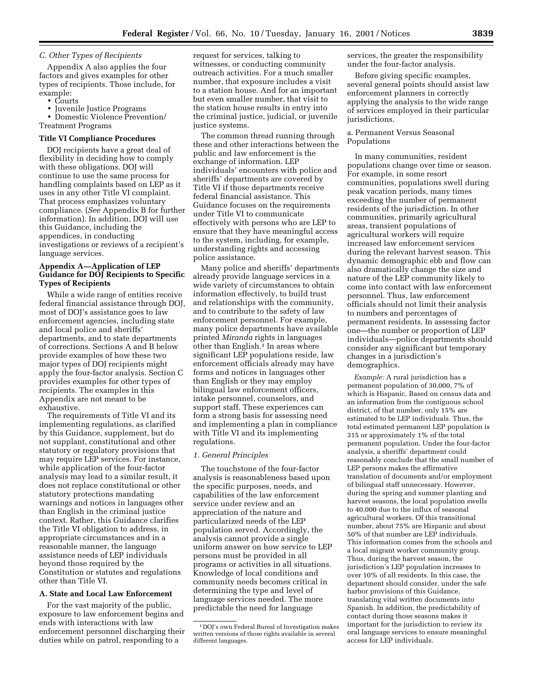# *C. Other Types of Recipients*

Appendix A also applies the four factors and gives examples for other types of recipients. Those include, for example:

- Courts
- Juvenile Justice Programs

• Domestic Violence Prevention/ Treatment Programs

#### **Title VI Compliance Procedures**

DOJ recipients have a great deal of flexibility in deciding how to comply with these obligations. DOJ will continue to use the same process for handling complaints based on LEP as it uses in any other Title VI complaint. That process emphasizes voluntary compliance. (*See* Appendix B for further information). In addition, DOJ will use this Guidance, including the appendices, in conducting investigations or reviews of a recipient's language services.

# **Appendix A—Application of LEP Guidance for DOJ Recipients to Specific Types of Recipients**

While a wide range of entities receive federal financial assistance through DOJ, most of DOJ's assistance goes to law enforcement agencies, including state and local police and sheriffs' departments, and to state departments of corrections. Sections A and B below provide examples of how these two major types of DOJ recipients might apply the four-factor analysis. Section C provides examples for other types of recipients. The examples in this Appendix are not meant to be exhaustive.

The requirements of Title VI and its implementing regulations, as clarified by this Guidance, supplement, but do not supplant, constitutional and other statutory or regulatory provisions that may require LEP services. For instance, while application of the four-factor analysis may lead to a similar result, it does not replace constitutional or other statutory protections mandating warnings and notices in languages other than English in the criminal justice context. Rather, this Guidance clarifies the Title VI obligation to address, in appropriate circumstances and in a reasonable manner, the language assistance needs of LEP individuals beyond those required by the Constitution or statutes and regulations other than Title VI.

# **A. State and Local Law Enforcement**

For the vast majority of the public, exposure to law enforcement begins and ends with interactions with law enforcement personnel discharging their duties while on patrol, responding to a

request for services, talking to witnesses, or conducting community outreach activities. For a much smaller number, that exposure includes a visit to a station house. And for an important but even smaller number, that visit to the station house results in entry into the criminal justice, judicial, or juvenile justice systems.

The common thread running through these and other interactions between the public and law enforcement is the exchange of information. LEP individuals' encounters with police and sheriffs' departments are covered by Title VI if those departments receive federal financial assistance. This Guidance focuses on the requirements under Title VI to communicate effectively with persons who are LEP to ensure that they have meaningful access to the system, including, for example, understanding rights and accessing police assistance.

Many police and sheriffs' departments already provide language services in a wide variety of circumstances to obtain information effectively, to build trust and relationships with the community, and to contribute to the safety of law enforcement personnel. For example, many police departments have available printed *Miranda* rights in languages other than English.<sup>1</sup> In areas where significant LEP populations reside, law enforcement officials already may have forms and notices in languages other than English or they may employ bilingual law enforcement officers, intake personnel, counselors, and support staff. These experiences can form a strong basis for assessing need and implementing a plan in compliance with Title VI and its implementing regulations.

#### *1. General Principles*

The touchstone of the four-factor analysis is reasonableness based upon the specific purposes, needs, and capabilities of the law enforcement service under review and an appreciation of the nature and particularized needs of the LEP population served. Accordingly, the analysis cannot provide a single uniform answer on how service to LEP persons must be provided in all programs or activities in all situations. Knowledge of local conditions and community needs becomes critical in determining the type and level of language services needed. The more predictable the need for language

services, the greater the responsibility under the four-factor analysis.

Before giving specific examples, several general points should assist law enforcement planners in correctly applying the analysis to the wide range of services employed in their particular jurisdictions.

## a. Permanent Versus Seasonal Populations

In many communities, resident populations change over time or season. For example, in some resort communities, populations swell during peak vacation periods, many times exceeding the number of permanent residents of the jurisdiction. In other communities, primarily agricultural areas, transient populations of agricultural workers will require increased law enforcement services during the relevant harvest season. This dynamic demographic ebb and flow can also dramatically change the size and nature of the LEP community likely to come into contact with law enforcement personnel. Thus, law enforcement officials should not limit their analysis to numbers and percentages of permanent residents. In assessing factor one—the number or proportion of LEP individuals—police departments should consider any significant but temporary changes in a jurisdiction's demographics.

*Example:* A rural jurisdiction has a permanent population of 30,000, 7% of which is Hispanic. Based on census data and an information from the contiguous school district, of that number, only 15% are estimated to be LEP individuals. Thus, the total estimated permanent LEP population is 315 or approximately 1% of the total permanent population. Under the four-factor analysis, a sheriffs' department could reasonably conclude that the small number of LEP persons makes the affirmative translation of documents and/or employment of bilingual staff unnecessary. However, during the spring and summer planting and harvest seasons, the local population swells to 40,000 due to the influx of seasonal agricultural workers. Of this transitional number, about 75% are Hispanic and about 50% of that number are LEP individuals. This information comes from the schools and a local migrant worker community group. Thus, during the harvest season, the jurisdiction's LEP population increases to over 10% of all residents. In this case, the department should consider, under the safe harbor provisions of this Guidance, translating vital written documents into Spanish. In addition, the predictability of contact during those seasons makes it important for the jurisdiction to review its oral language services to ensure meaningful access for LEP individuals.

<sup>1</sup> DOJ's own Federal Bureal of Investigation makes written versions of those rights available in several different languages.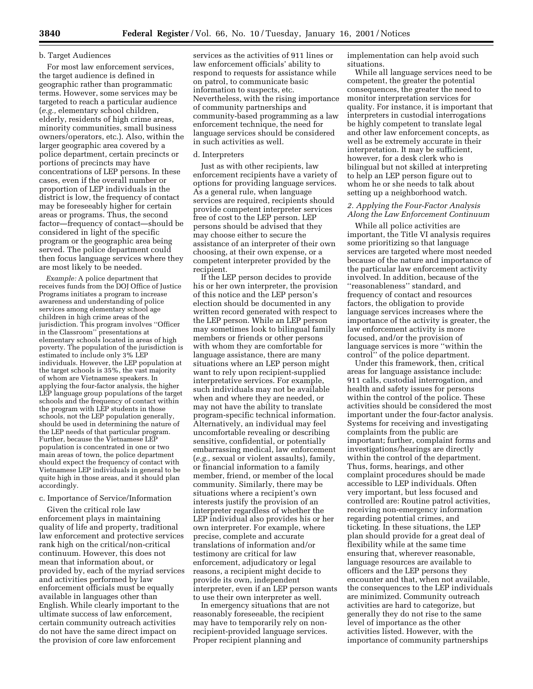# b. Target Audiences

For most law enforcement services, the target audience is defined in geographic rather than programmatic terms. However, some services may be targeted to reach a particular audience (*e.g.,* elementary school children, elderly, residents of high crime areas, minority communities, small business owners/operators, etc.). Also, within the larger geographic area covered by a police department, certain precincts or portions of precincts may have concentrations of LEP persons. In these cases, even if the overall number or proportion of LEP individuals in the district is low, the frequency of contact may be foreseeably higher for certain areas or programs. Thus, the second factor—frequency of contact—should be considered in light of the specific program or the geographic area being served. The police department could then focus language services where they are most likely to be needed.

*Example:* A police department that receives funds from the DOJ Office of Justice Programs initiates a program to increase awareness and understanding of police services among elementary school age children in high crime areas of the jurisdiction. This program involves ''Officer in the Classroom'' presentations at elementary schools located in areas of high poverty. The population of the jurisdiction is estimated to include only 3% LEP individuals. However, the LEP population at the target schools is 35%, the vast majority of whom are Vietnamese speakers. In applying the four-factor analysis, the higher LEP language group populations of the target schools and the frequency of contact within the program with LEP students in those schools, not the LEP population generally, should be used in determining the nature of the LEP needs of that particular program. Further, because the Vietnamese LEP population is concentrated in one or two main areas of town, the police department should expect the frequency of contact with Vietnamese LEP individuals in general to be quite high in those areas, and it should plan accordingly.

# c. Importance of Service/Information

Given the critical role law enforcement plays in maintaining quality of life and property, traditional law enforcement and protective services rank high on the critical/non-critical continuum. However, this does not mean that information about, or provided by, each of the myriad services and activities performed by law enforcement officials must be equally available in languages other than English. While clearly important to the ultimate success of law enforcement, certain community outreach activities do not have the same direct impact on the provision of core law enforcement

services as the activities of 911 lines or law enforcement officials' ability to respond to requests for assistance while on patrol, to communicate basic information to suspects, etc. Nevertheless, with the rising importance of community partnerships and community-based programming as a law enforcement technique, the need for language services should be considered in such activities as well.

#### d. Interpreters

Just as with other recipients, law enforcement recipients have a variety of options for providing language services. As a general rule, when language services are required, recipients should provide competent interpreter services free of cost to the LEP person. LEP persons should be advised that they may choose either to secure the assistance of an interpreter of their own choosing, at their own expense, or a competent interpreter provided by the recipient.

If the LEP person decides to provide his or her own interpreter, the provision of this notice and the LEP person's election should be documented in any written record generated with respect to the LEP person. While an LEP person may sometimes look to bilingual family members or friends or other persons with whom they are comfortable for language assistance, there are many situations where an LEP person might want to rely upon recipient-supplied interpretative services. For example, such individuals may not be available when and where they are needed, or may not have the ability to translate program-specific technical information. Alternatively, an individual may feel uncomfortable revealing or describing sensitive, confidential, or potentially embarrassing medical, law enforcement (*e.g.,* sexual or violent assaults), family, or financial information to a family member, friend, or member of the local community. Similarly, there may be situations where a recipient's own interests justify the provision of an interpreter regardless of whether the LEP individual also provides his or her own interpreter. For example, where precise, complete and accurate translations of information and/or testimony are critical for law enforcement, adjudicatory or legal reasons, a recipient might decide to provide its own, independent interpreter, even if an LEP person wants to use their own interpreter as well.

In emergency situations that are not reasonably foreseeable, the recipient may have to temporarily rely on nonrecipient-provided language services. Proper recipient planning and

implementation can help avoid such situations.

While all language services need to be competent, the greater the potential consequences, the greater the need to monitor interpretation services for quality. For instance, it is important that interpreters in custodial interrogations be highly competent to translate legal and other law enforcement concepts, as well as be extremely accurate in their interpretation. It may be sufficient, however, for a desk clerk who is bilingual but not skilled at interpreting to help an LEP person figure out to whom he or she needs to talk about setting up a neighborhood watch.

# *2. Applying the Four-Factor Analysis Along the Law Enforcement Continuum*

While all police activities are important, the Title VI analysis requires some prioritizing so that language services are targeted where most needed because of the nature and importance of the particular law enforcement activity involved. In addition, because of the ''reasonableness'' standard, and frequency of contact and resources factors, the obligation to provide language services increases where the importance of the activity is greater, the law enforcement activity is more focused, and/or the provision of language services is more ''within the control'' of the police department.

Under this framework, then, critical areas for language assistance include: 911 calls, custodial interrogation, and health and safety issues for persons within the control of the police. These activities should be considered the most important under the four-factor analysis. Systems for receiving and investigating complaints from the public are important; further, complaint forms and investigations/hearings are directly within the control of the department. Thus, forms, hearings, and other complaint procedures should be made accessible to LEP individuals. Often very important, but less focused and controlled are: Routine patrol activities, receiving non-emergency information regarding potential crimes, and ticketing. In these situations, the LEP plan should provide for a great deal of flexibility while at the same time ensuring that, wherever reasonable, language resources are available to officers and the LEP persons they encounter and that, when not available, the consequences to the LEP individuals are minimized. Community outreach activities are hard to categorize, but generally they do not rise to the same level of importance as the other activities listed. However, with the importance of community partnerships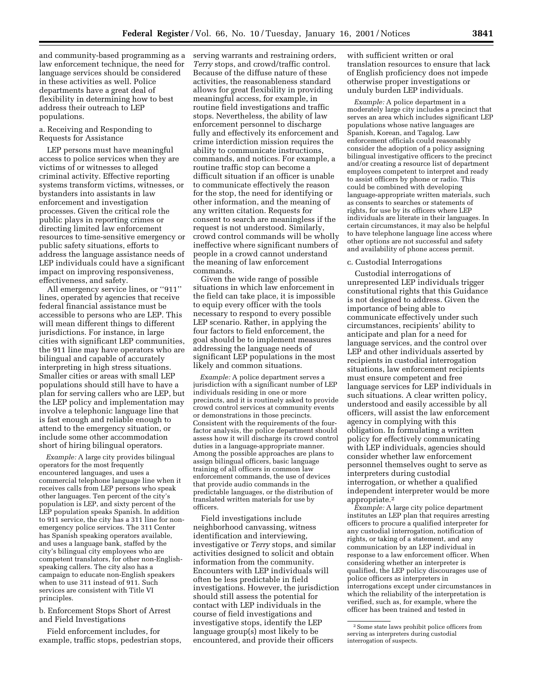and community-based programming as a law enforcement technique, the need for language services should be considered in these activities as well. Police departments have a great deal of flexibility in determining how to best address their outreach to LEP populations.

#### a. Receiving and Responding to Requests for Assistance

LEP persons must have meaningful access to police services when they are victims of or witnesses to alleged criminal activity. Effective reporting systems transform victims, witnesses, or bystanders into assistants in law enforcement and investigation processes. Given the critical role the public plays in reporting crimes or directing limited law enforcement resources to time-sensitive emergency or public safety situations, efforts to address the language assistance needs of LEP individuals could have a significant impact on improving responsiveness, effectiveness, and safety.

All emergency service lines, or ''911'' lines, operated by agencies that receive federal financial assistance must be accessible to persons who are LEP. This will mean different things to different jurisdictions. For instance, in large cities with significant LEP communities, the 911 line may have operators who are bilingual and capable of accurately interpreting in high stress situations. Smaller cities or areas with small LEP populations should still have to have a plan for serving callers who are LEP, but the LEP policy and implementation may involve a telephonic language line that is fast enough and reliable enough to attend to the emergency situation, or include some other accommodation short of hiring bilingual operators.

*Example:* A large city provides bilingual operators for the most frequently encountered languages, and uses a commercial telephone language line when it receives calls from LEP persons who speak other languages. Ten percent of the city's population is LEP, and sixty percent of the LEP population speaks Spanish. In addition to 911 service, the city has a 311 line for nonemergency police services. The 311 Center has Spanish speaking operators available, and uses a language bank, staffed by the city's bilingual city employees who are competent translators, for other non-Englishspeaking callers. The city also has a campaign to educate non-English speakers when to use 311 instead of 911. Such services are consistent with Title VI principles.

b. Enforcement Stops Short of Arrest and Field Investigations

Field enforcement includes, for example, traffic stops, pedestrian stops,

serving warrants and restraining orders, *Terry* stops, and crowd/traffic control. Because of the diffuse nature of these activities, the reasonableness standard allows for great flexibility in providing meaningful access, for example, in routine field investigations and traffic stops. Nevertheless, the ability of law enforcement personnel to discharge fully and effectively its enforcement and crime interdiction mission requires the ability to communicate instructions, commands, and notices. For example, a routine traffic stop can become a difficult situation if an officer is unable to communicate effectively the reason for the stop, the need for identifying or other information, and the meaning of any written citation. Requests for consent to search are meaningless if the request is not understood. Similarly, crowd control commands will be wholly ineffective where significant numbers of people in a crowd cannot understand the meaning of law enforcement commands.

Given the wide range of possible situations in which law enforcement in the field can take place, it is impossible to equip every officer with the tools necessary to respond to every possible LEP scenario. Rather, in applying the four factors to field enforcement, the goal should be to implement measures addressing the language needs of significant LEP populations in the most likely and common situations.

*Example:* A police department serves a jurisdiction with a significant number of LEP individuals residing in one or more precincts, and it is routinely asked to provide crowd control services at community events or demonstrations in those precincts. Consistent with the requirements of the fourfactor analysis, the police department should assess how it will discharge its crowd control duties in a language-appropriate manner. Among the possible approaches are plans to assign bilingual officers, basic language training of all officers in common law enforcement commands, the use of devices that provide audio commands in the predictable languages, or the distribution of translated written materials for use by officers.

Field investigations include neighborhood canvassing, witness identification and interviewing, investigative or *Terry* stops, and similar activities designed to solicit and obtain information from the community. Encounters with LEP individuals will often be less predictable in field investigations. However, the jurisdiction should still assess the potential for contact with LEP individuals in the course of field investigations and investigative stops, identify the LEP language group(s) most likely to be encountered, and provide their officers

with sufficient written or oral translation resources to ensure that lack of English proficiency does not impede otherwise proper investigations or unduly burden LEP individuals.

*Example:* A police department in a moderately large city includes a precinct that serves an area which includes significant LEP populations whose native languages are Spanish, Korean, and Tagalog. Law enforcement officials could reasonably consider the adoption of a policy assigning bilingual investigative officers to the precinct and/or creating a resource list of department employees competent to interpret and ready to assist officers by phone or radio. This could be combined with developing language-appropriate written materials, such as consents to searches or statements of rights, for use by its officers where LEP individuals are literate in their languages. In certain circumstances, it may also be helpful to have telephone language line access where other options are not successful and safety and availability of phone access permit.

#### c. Custodial Interrogations

Custodial interrogations of unrepresented LEP individuals trigger constitutional rights that this Guidance is not designed to address. Given the importance of being able to communicate effectively under such circumstances, recipients' ability to anticipate and plan for a need for language services, and the control over LEP and other individuals asserted by recipients in custodial interrogation situations, law enforcement recipients must ensure competent and free language services for LEP individuals in such situations. A clear written policy, understood and easily accessible by all officers, will assist the law enforcement agency in complying with this obligation. In formulating a written policy for effectively communicating with LEP individuals, agencies should consider whether law enforcement personnel themselves ought to serve as interpreters during custodial interrogation, or whether a qualified independent interpreter would be more appropriate.2

*Example:* A large city police department institutes an LEP plan that requires arresting officers to procure a qualified interpreter for any custodial interrogation, notification of rights, or taking of a statement, and any communication by an LEP individual in response to a law enforcement officer. When considering whether an interpreter is qualified, the LEP policy discourages use of police officers as interpreters in interrogations except under circumstances in which the reliability of the interpretation is verified, such as, for example, where the officer has been trained and tested in

<sup>2</sup>Some state laws prohibit police officers from serving as interpreters during custodial interrogation of suspects.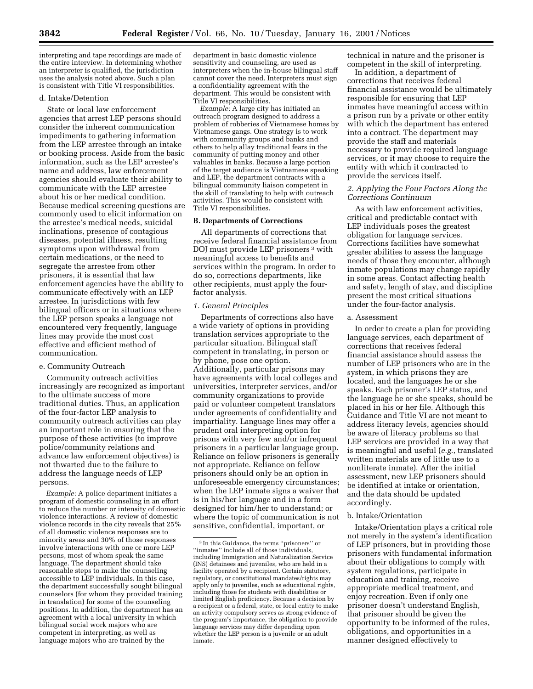interpreting and tape recordings are made of the entire interview. In determining whether an interpreter is qualified, the jurisdiction uses the analysis noted above. Such a plan is consistent with Title VI responsibilities.

# d. Intake/Detention

State or local law enforcement agencies that arrest LEP persons should consider the inherent communication impediments to gathering information from the LEP arrestee through an intake or booking process. Aside from the basic information, such as the LEP arrestee's name and address, law enforcement agencies should evaluate their ability to communicate with the LEP arrestee about his or her medical condition. Because medical screening questions are commonly used to elicit information on the arrestee's medical needs, suicidal inclinations, presence of contagious diseases, potential illness, resulting symptoms upon withdrawal from certain medications, or the need to segregate the arrestee from other prisoners, it is essential that law enforcement agencies have the ability to communicate effectively with an LEP arrestee. In jurisdictions with few bilingual officers or in situations where the LEP person speaks a language not encountered very frequently, language lines may provide the most cost effective and efficient method of communication.

# e. Community Outreach

Community outreach activities increasingly are recognized as important to the ultimate success of more traditional duties. Thus, an application of the four-factor LEP analysis to community outreach activities can play an important role in ensuring that the purpose of these activities (to improve police/community relations and advance law enforcement objectives) is not thwarted due to the failure to address the language needs of LEP persons.

*Example:* A police department initiates a program of domestic counseling in an effort to reduce the number or intensity of domestic violence interactions. A review of domestic violence records in the city reveals that 25% of all domestic violence responses are to minority areas and 30% of those responses involve interactions with one or more LEP persons, most of whom speak the same language. The department should take reasonable steps to make the counseling accessible to LEP individuals. In this case, the department successfully sought bilingual counselors (for whom they provided training in translation) for some of the counseling positions. In addition, the department has an agreement with a local university in which bilingual social work majors who are competent in interpreting, as well as language majors who are trained by the

department in basic domestic violence sensitivity and counseling, are used as interpreters when the in-house bilingual staff cannot cover the need. Interpreters must sign a confidentiality agreement with the department. This would be consistent with Title VI responsibilities.

*Example:* A large city has initiated an outreach program designed to address a problem of robberies of Vietnamese homes by Vietnamese gangs. One strategy is to work with community groups and banks and others to help allay traditional fears in the community of putting money and other valuables in banks. Because a large portion of the target audience is Vietnamese speaking and LEP, the department contracts with a bilingual community liaison competent in the skill of translating to help with outreach activities. This would be consistent with Title VI responsibilities.

# **B. Departments of Corrections**

All departments of corrections that receive federal financial assistance from DOJ must provide LEP prisoners 3 with meaningful access to benefits and services within the program. In order to do so, corrections departments, like other recipients, must apply the fourfactor analysis.

# *1. General Principles*

Departments of corrections also have a wide variety of options in providing translation services appropriate to the particular situation. Bilingual staff competent in translating, in person or by phone, pose one option. Additionally, particular prisons may have agreements with local colleges and universities, interpreter services, and/or community organizations to provide paid or volunteer competent translators under agreements of confidentiality and impartiality. Language lines may offer a prudent oral interpreting option for prisons with very few and/or infrequent prisoners in a particular language group. Reliance on fellow prisoners is generally not appropriate. Reliance on fellow prisoners should only be an option in unforeseeable emergency circumstances; when the LEP inmate signs a waiver that is in his/her language and in a form designed for him/her to understand; or where the topic of communication is not sensitive, confidential, important, or

technical in nature and the prisoner is competent in the skill of interpreting.

In addition, a department of corrections that receives federal financial assistance would be ultimately responsible for ensuring that LEP inmates have meaningful access within a prison run by a private or other entity with which the department has entered into a contract. The department may provide the staff and materials necessary to provide required language services, or it may choose to require the entity with which it contracted to provide the services itself.

# *2. Applying the Four Factors Along the Corrections Continuum*

As with law enforcement activities, critical and predictable contact with LEP individuals poses the greatest obligation for language services. Corrections facilities have somewhat greater abilities to assess the language needs of those they encounter, although inmate populations may change rapidly in some areas. Contact affecting health and safety, length of stay, and discipline present the most critical situations under the four-factor analysis.

# a. Assessment

In order to create a plan for providing language services, each department of corrections that receives federal financial assistance should assess the number of LEP prisoners who are in the system, in which prisons they are located, and the languages he or she speaks. Each prisoner's LEP status, and the language he or she speaks, should be placed in his or her file. Although this Guidance and Title VI are not meant to address literacy levels, agencies should be aware of literacy problems so that LEP services are provided in a way that is meaningful and useful (*e.g.*, translated written materials are of little use to a nonliterate inmate). After the initial assessment, new LEP prisoners should be identified at intake or orientation, and the data should be updated accordingly.

#### b. Intake/Orientation

Intake/Orientation plays a critical role not merely in the system's identification of LEP prisoners, but in providing those prisoners with fundamental information about their obligations to comply with system regulations, participate in education and training, receive appropriate medical treatment, and enjoy recreation. Even if only one prisoner doesn't understand English, that prisoner should be given the opportunity to be informed of the rules, obligations, and opportunities in a manner designed effectively to

<sup>3</sup> In this Guidance, the terms ''prisoners'' or ''inmates'' include all of those individuals, including Immigration and Naturalization Service (INS) detainees and juveniles, who are held in a facility operated by a recipient. Certain statutory, regulatory, or constitutional mandates/rights may apply only to juveniles, such as educational rights, including those for students with disabilities or limited English proficiency. Because a decision by a recipient or a federal, state, or local entity to make an activity compulsory serves as strong evidence of the program's importance, the obligation to provide language services may differ depending upon whether the LEP person is a juvenile or an adult inmate.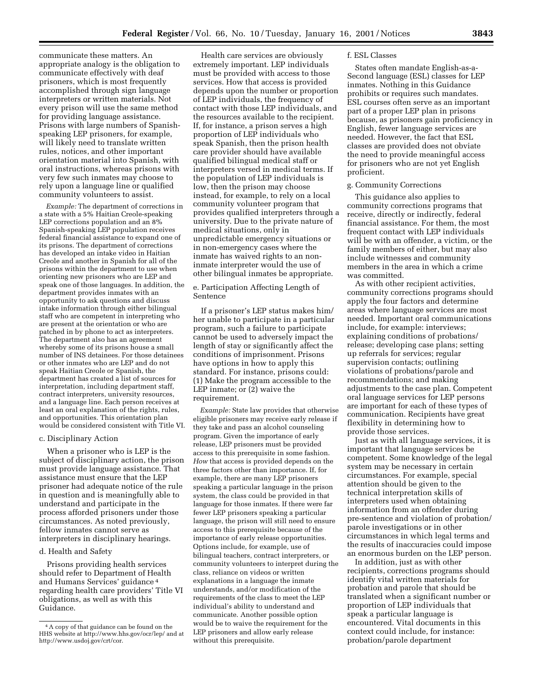communicate these matters. An appropriate analogy is the obligation to communicate effectively with deaf prisoners, which is most frequently accomplished through sign language interpreters or written materials. Not every prison will use the same method for providing language assistance. Prisons with large numbers of Spanishspeaking LEP prisoners, for example, will likely need to translate written rules, notices, and other important orientation material into Spanish, with oral instructions, whereas prisons with very few such inmates may choose to rely upon a language line or qualified community volunteers to assist.

*Example:* The department of corrections in a state with a 5% Haitian Creole-speaking LEP corrections population and an 8% Spanish-speaking LEP population receives federal financial assistance to expand one of its prisons. The department of corrections has developed an intake video in Haitian Creole and another in Spanish for all of the prisons within the department to use when orienting new prisoners who are LEP and speak one of those languages. In addition, the department provides inmates with an opportunity to ask questions and discuss intake information through either bilingual staff who are competent in interpreting who are present at the orientation or who are patched in by phone to act as interpreters. The department also has an agreement whereby some of its prisons house a small number of INS detainees. For those detainees or other inmates who are LEP and do not speak Haitian Creole or Spanish, the department has created a list of sources for interpretation, including department staff, contract interpreters, university resources, and a language line. Each person receives at least an oral explanation of the rights, rules, and opportunities. This orientation plan would be considered consistent with Title VI.

#### c. Disciplinary Action

When a prisoner who is LEP is the subject of disciplinary action, the prison must provide language assistance. That assistance must ensure that the LEP prisoner had adequate notice of the rule in question and is meaningfully able to understand and participate in the process afforded prisoners under those circumstances. As noted previously, fellow inmates cannot serve as interpreters in disciplinary hearings.

# d. Health and Safety

Prisons providing health services should refer to Department of Health and Humans Services' guidance 4 regarding health care providers' Title VI obligations, as well as with this Guidance.

Health care services are obviously extremely important. LEP individuals must be provided with access to those services. How that access is provided depends upon the number or proportion of LEP individuals, the frequency of contact with those LEP individuals, and the resources available to the recipient. If, for instance, a prison serves a high proportion of LEP individuals who speak Spanish, then the prison health care provider should have available qualified bilingual medical staff or interpreters versed in medical terms. If the population of LEP individuals is low, then the prison may choose instead, for example, to rely on a local community volunteer program that provides qualified interpreters through a university. Due to the private nature of medical situations, only in unpredictable emergency situations or in non-emergency cases where the inmate has waived rights to an noninmate interpreter would the use of other bilingual inmates be appropriate.

e. Participation Affecting Length of Sentence

If a prisoner's LEP status makes him/ her unable to participate in a particular program, such a failure to participate cannot be used to adversely impact the length of stay or significantly affect the conditions of imprisonment. Prisons have options in how to apply this standard. For instance, prisons could: (1) Make the program accessible to the LEP inmate; or (2) waive the requirement.

*Example:* State law provides that otherwise eligible prisoners may receive early release if they take and pass an alcohol counseling program. Given the importance of early release, LEP prisoners must be provided access to this prerequisite in some fashion. *How* that access is provided depends on the three factors other than importance. If, for example, there are many LEP prisoners speaking a particular language in the prison system, the class could be provided in that language for those inmates. If there were far fewer LEP prisoners speaking a particular language, the prison will still need to ensure access to this prerequisite because of the importance of early release opportunities. Options include, for example, use of bilingual teachers, contract interpreters, or community volunteers to interpret during the class, reliance on videos or written explanations in a language the inmate understands, and/or modification of the requirements of the class to meet the LEP individual's ability to understand and communicate. Another possible option would be to waive the requirement for the LEP prisoners and allow early release without this prerequisite.

#### f. ESL Classes

States often mandate English-as-a-Second language (ESL) classes for LEP inmates. Nothing in this Guidance prohibits or requires such mandates. ESL courses often serve as an important part of a proper LEP plan in prisons because, as prisoners gain proficiency in English, fewer language services are needed. However, the fact that ESL classes are provided does not obviate the need to provide meaningful access for prisoners who are not yet English proficient.

# g. Community Corrections

This guidance also applies to community corrections programs that receive, directly or indirectly, federal financial assistance. For them, the most frequent contact with LEP individuals will be with an offender, a victim, or the family members of either, but may also include witnesses and community members in the area in which a crime was committed.

As with other recipient activities, community corrections programs should apply the four factors and determine areas where language services are most needed. Important oral communications include, for example: interviews; explaining conditions of probations/ release; developing case plans; setting up referrals for services; regular supervision contacts; outlining violations of probations/parole and recommendations; and making adjustments to the case plan. Competent oral language services for LEP persons are important for each of these types of communication. Recipients have great flexibility in determining how to provide those services.

Just as with all language services, it is important that language services be competent. Some knowledge of the legal system may be necessary in certain circumstances. For example, special attention should be given to the technical interpretation skills of interpreters used when obtaining information from an offender during pre-sentence and violation of probation/ parole investigations or in other circumstances in which legal terms and the results of inaccuracies could impose an enormous burden on the LEP person.

In addition, just as with other recipients, corrections programs should identify vital written materials for probation and parole that should be translated when a significant number or proportion of LEP individuals that speak a particular language is encountered. Vital documents in this context could include, for instance: probation/parole department

<sup>4</sup>A copy of that guidance can be found on the HHS website at http://www.hhs.gov/ocr/lep/ and at http://www.usdoj.gov/crt/cor.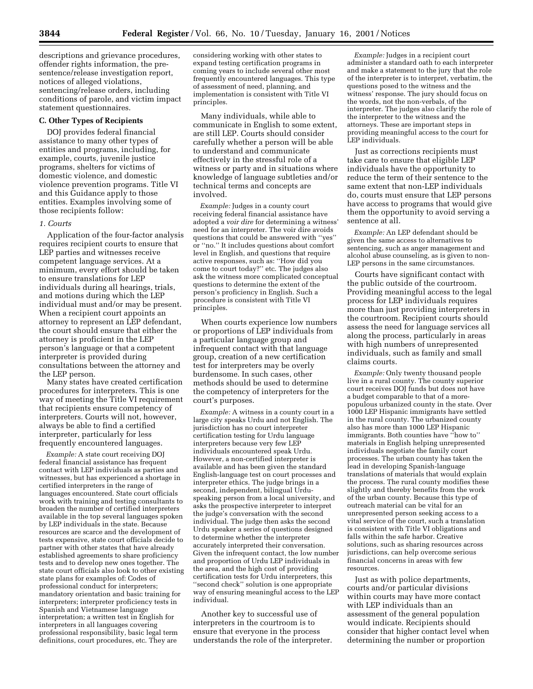descriptions and grievance procedures, offender rights information, the presentence/release investigation report, notices of alleged violations, sentencing/release orders, including conditions of parole, and victim impact statement questionnaires.

#### **C. Other Types of Recipients**

DOJ provides federal financial assistance to many other types of entities and programs, including, for example, courts, juvenile justice programs, shelters for victims of domestic violence, and domestic violence prevention programs. Title VI and this Guidance apply to those entities. Examples involving some of those recipients follow:

#### *1. Courts*

Application of the four-factor analysis requires recipient courts to ensure that LEP parties and witnesses receive competent language services. At a minimum, every effort should be taken to ensure translations for LEP individuals during all hearings, trials, and motions during which the LEP individual must and/or may be present. When a recipient court appoints an attorney to represent an LEP defendant, the court should ensure that either the attorney is proficient in the LEP person's language or that a competent interpreter is provided during consultations between the attorney and the LEP person.

Many states have created certification procedures for interpreters. This is one way of meeting the Title VI requirement that recipients ensure competency of interpreters. Courts will not, however, always be able to find a certified interpreter, particularly for less frequently encountered languages.

*Example:* A state court receiving DOJ federal financial assistance has frequent contact with LEP individuals as parties and witnesses, but has experienced a shortage in certified interpreters in the range of languages encountered. State court officials work with training and testing consultants to broaden the number of certified interpreters available in the top several languages spoken by LEP individuals in the state. Because resources are scarce and the development of tests expensive, state court officials decide to partner with other states that have already established agreements to share proficiency tests and to develop new ones together. The state court officials also look to other existing state plans for examples of: Codes of professional conduct for interpreters; mandatory orientation and basic training for interpreters; interpreter proficiency tests in Spanish and Vietnamese language interpretation; a written test in English for interpreters in all languages covering professional responsibility, basic legal term definitions, court procedures, etc. They are

considering working with other states to expand testing certification programs in coming years to include several other most frequently encountered languages. This type of assessment of need, planning, and implementation is consistent with Title VI principles.

Many individuals, while able to communicate in English to some extent, are still LEP. Courts should consider carefully whether a person will be able to understand and communicate effectively in the stressful role of a witness or party and in situations where knowledge of language subtleties and/or technical terms and concepts are involved.

*Example:* Judges in a county court receiving federal financial assistance have adopted a *voir dire* for determining a witness' need for an interpreter. The voir dire avoids questions that could be answered with ''yes'' or ''no.'' It includes questions about comfort level in English, and questions that require active responses, such as: ''How did you come to court today?'' etc. The judges also ask the witness more complicated conceptual questions to determine the extent of the person's proficiency in English. Such a procedure is consistent with Title VI principles.

When courts experience low numbers or proportions of LEP individuals from a particular language group and infrequent contact with that language group, creation of a new certification test for interpreters may be overly burdensome. In such cases, other methods should be used to determine the competency of interpreters for the court's purposes.

*Example:* A witness in a county court in a large city speaks Urdu and not English. The jurisdiction has no court interpreter certification testing for Urdu language interpreters because very few LEP individuals encountered speak Urdu. However, a non-certified interpreter is available and has been given the standard English-language test on court processes and interpreter ethics. The judge brings in a second, independent, bilingual Urduspeaking person from a local university, and asks the prospective interpreter to interpret the judge's conversation with the second individual. The judge then asks the second Urdu speaker a series of questions designed to determine whether the interpreter accurately interpreted their conversation. Given the infrequent contact, the low number and proportion of Urdu LEP individuals in the area, and the high cost of providing certification tests for Urdu interpreters, this ''second check'' solution is one appropriate way of ensuring meaningful access to the LEP individual.

Another key to successful use of interpreters in the courtroom is to ensure that everyone in the process understands the role of the interpreter.

*Example:* Judges in a recipient court administer a standard oath to each interpreter and make a statement to the jury that the role of the interpreter is to interpret, verbatim, the questions posed to the witness and the witness' response. The jury should focus on the words, not the non-verbals, of the interpreter. The judges also clarify the role of the interpreter to the witness and the attorneys. These are important steps in providing meaningful access to the court for LEP individuals.

Just as corrections recipients must take care to ensure that eligible LEP individuals have the opportunity to reduce the term of their sentence to the same extent that non-LEP individuals do, courts must ensure that LEP persons have access to programs that would give them the opportunity to avoid serving a sentence at all.

*Example:* An LEP defendant should be given the same access to alternatives to sentencing, such as anger management and alcohol abuse counseling, as is given to non-LEP persons in the same circumstances.

Courts have significant contact with the public outside of the courtroom. Providing meaningful access to the legal process for LEP individuals requires more than just providing interpreters in the courtroom. Recipient courts should assess the need for language services all along the process, particularly in areas with high numbers of unrepresented individuals, such as family and small claims courts.

*Example:* Only twenty thousand people live in a rural county. The county superior court receives DOJ funds but does not have a budget comparable to that of a morepopulous urbanized county in the state. Over 1000 LEP Hispanic immigrants have settled in the rural county. The urbanized county also has more than 1000 LEP Hispanic immigrants. Both counties have ''how to'' materials in English helping unrepresented individuals negotiate the family court processes. The urban county has taken the lead in developing Spanish-language translations of materials that would explain the process. The rural county modifies these slightly and thereby benefits from the work of the urban county. Because this type of outreach material can be vital for an unrepresented person seeking access to a vital service of the court, such a translation is consistent with Title VI obligations and falls within the safe harbor. Creative solutions, such as sharing resources across jurisdictions, can help overcome serious financial concerns in areas with few resources.

Just as with police departments, courts and/or particular divisions within courts may have more contact with LEP individuals than an assessment of the general population would indicate. Recipients should consider that higher contact level when determining the number or proportion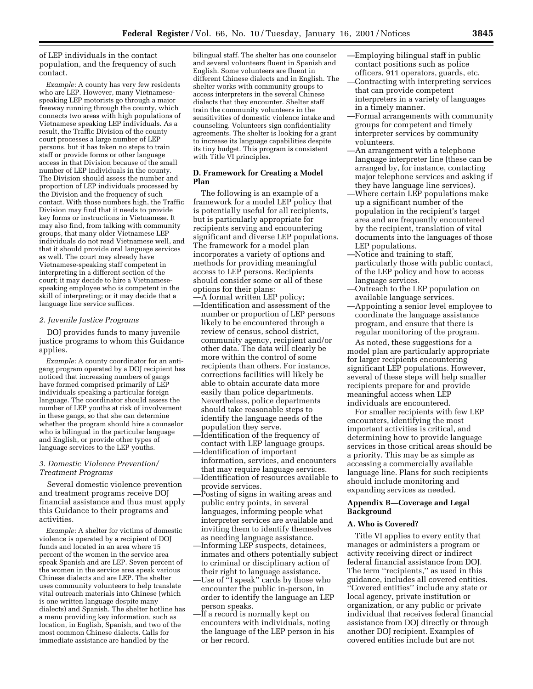of LEP individuals in the contact population, and the frequency of such contact.

*Example:* A county has very few residents who are LEP. However, many Vietnamesespeaking LEP motorists go through a major freeway running through the county, which connects two areas with high populations of Vietnamese speaking LEP individuals. As a result, the Traffic Division of the county court processes a large number of LEP persons, but it has taken no steps to train staff or provide forms or other language access in that Division because of the small number of LEP individuals in the county. The Division should assess the number and proportion of LEP individuals processed by the Division and the frequency of such contact. With those numbers high, the Traffic Division may find that it needs to provide key forms or instructions in Vietnamese. It may also find, from talking with community groups, that many older Vietnamese LEP individuals do not read Vietnamese well, and that it should provide oral language services as well. The court may already have Vietnamese-speaking staff competent in interpreting in a different section of the court; it may decide to hire a Vietnamesespeaking employee who is competent in the skill of interpreting; or it may decide that a language line service suffices.

#### *2. Juvenile Justice Programs*

DOJ provides funds to many juvenile justice programs to whom this Guidance applies.

*Example:* A county coordinator for an antigang program operated by a DOJ recipient has noticed that increasing numbers of gangs have formed comprised primarily of LEP individuals speaking a particular foreign language. The coordinator should assess the number of LEP youths at risk of involvement in these gangs, so that she can determine whether the program should hire a counselor who is bilingual in the particular language and English, or provide other types of language services to the LEP youths.

# *3. Domestic Violence Prevention/ Treatment Programs*

Several domestic violence prevention and treatment programs receive DOJ financial assistance and thus must apply this Guidance to their programs and activities.

*Example:* A shelter for victims of domestic violence is operated by a recipient of DOJ funds and located in an area where 15 percent of the women in the service area speak Spanish and are LEP. Seven percent of the women in the service area speak various Chinese dialects and are LEP. The shelter uses community volunteers to help translate vital outreach materials into Chinese (which is one written language despite many dialects) and Spanish. The shelter hotline has a menu providing key information, such as location, in English, Spanish, and two of the most common Chinese dialects. Calls for immediate assistance are handled by the

bilingual staff. The shelter has one counselor and several volunteers fluent in Spanish and English. Some volunteers are fluent in different Chinese dialects and in English. The shelter works with community groups to access interpreters in the several Chinese dialects that they encounter. Shelter staff train the community volunteers in the sensitivities of domestic violence intake and counseling. Volunteers sign confidentiality agreements. The shelter is looking for a grant to increase its language capabilities despite its tiny budget. This program is consistent with Title VI principles.

# **D. Framework for Creating a Model Plan**

The following is an example of a framework for a model LEP policy that is potentially useful for all recipients, but is particularly appropriate for recipients serving and encountering significant and diverse LEP populations. The framework for a model plan incorporates a variety of options and methods for providing meaningful access to LEP persons. Recipients should consider some or all of these options for their plans: —A formal written LEP policy;

- —Identification and assessment of the number or proportion of LEP persons likely to be encountered through a review of census, school district, community agency, recipient and/or other data. The data will clearly be more within the control of some recipients than others. For instance, corrections facilities will likely be able to obtain accurate data more easily than police departments. Nevertheless, police departments should take reasonable steps to identify the language needs of the population they serve.
- —Identification of the frequency of contact with LEP language groups. —Identification of important
- information, services, and encounters that may require language services. —Identification of resources available to
- provide services. —Posting of signs in waiting areas and public entry points, in several languages, informing people what interpreter services are available and
- as needing language assistance. —Informing LEP suspects, detainees, inmates and others potentially subject to criminal or disciplinary action of their right to language assistance.

inviting them to identify themselves

- —Use of ''I speak'' cards by those who encounter the public in-person, in order to identify the language an LEP person speaks.
- —If a record is normally kept on encounters with individuals, noting the language of the LEP person in his or her record.
- —Employing bilingual staff in public contact positions such as police officers, 911 operators, guards, etc.
- —Contracting with interpreting services that can provide competent interpreters in a variety of languages in a timely manner.
- —Formal arrangements with community groups for competent and timely interpreter services by community volunteers.
- —An arrangement with a telephone language interpreter line (these can be arranged by, for instance, contacting major telephone services and asking if they have language line services).
- —Where certain LEP populations make up a significant number of the population in the recipient's target area and are frequently encountered by the recipient, translation of vital documents into the languages of those LEP populations.
- —Notice and training to staff, particularly those with public contact, of the LEP policy and how to access language services.
- —Outreach to the LEP population on available language services.
- —Appointing a senior level employee to coordinate the language assistance program, and ensure that there is regular monitoring of the program.

As noted, these suggestions for a model plan are particularly appropriate for larger recipients encountering significant LEP populations. However, several of these steps will help smaller recipients prepare for and provide meaningful access when LEP individuals are encountered.

For smaller recipients with few LEP encounters, identifying the most important activities is critical, and determining how to provide language services in those critical areas should be a priority. This may be as simple as accessing a commercially available language line. Plans for such recipients should include monitoring and expanding services as needed.

# **Appendix B—Coverage and Legal Background**

# **A. Who is Covered?**

Title VI applies to every entity that manages or administers a program or activity receiving direct or indirect federal financial assistance from DOJ. The term ''recipients,'' as used in this guidance, includes all covered entities. ''Covered entities'' include any state or local agency, private institution or organization, or any public or private individual that receives federal financial assistance from DOJ directly or through another DOJ recipient. Examples of covered entities include but are not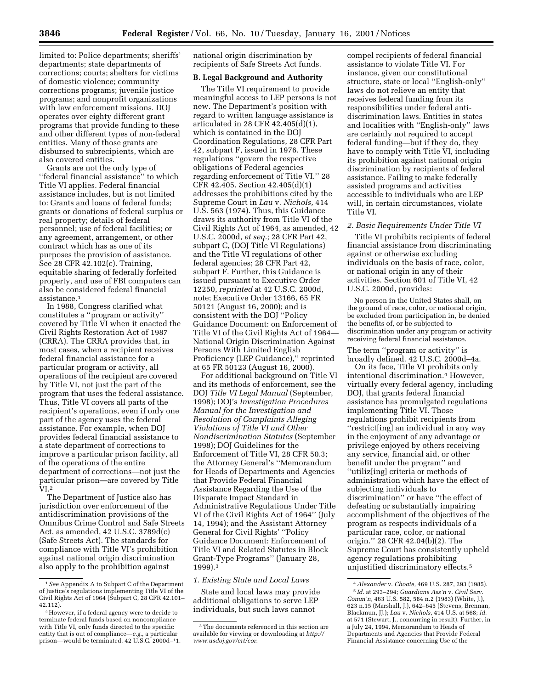limited to: Police departments; sheriffs' departments; state departments of corrections; courts; shelters for victims of domestic violence; community corrections programs; juvenile justice programs; and nonprofit organizations with law enforcement missions. DOJ operates over eighty different grant programs that provide funding to these and other different types of non-federal entities. Many of those grants are disbursed to subrecipients, which are also covered entities.

Grants are not the only type of ''federal financial assistance'' to which Title VI applies. Federal financial assistance includes, but is not limited to: Grants and loans of federal funds; grants or donations of federal surplus or real property; details of federal personnel; use of federal facilities; or any agreement, arrangement, or other contract which has as one of its purposes the provision of assistance. See 28 CFR 42.102(c). Training, equitable sharing of federally forfeited property, and use of FBI computers can also be considered federal financial assistance.1

In 1988, Congress clarified what constitutes a ''program or activity'' covered by Title VI when it enacted the Civil Rights Restoration Act of 1987 (CRRA). The CRRA provides that, in most cases, when a recipient receives federal financial assistance for a particular program or activity, all operations of the recipient are covered by Title VI, not just the part of the program that uses the federal assistance. Thus, Title VI covers all parts of the recipient's operations, even if only one part of the agency uses the federal assistance. For example, when DOJ provides federal financial assistance to a state department of corrections to improve a particular prison facility, all of the operations of the entire department of corrections—not just the particular prison—are covered by Title  $VI<sub>.2</sub>$ 

The Department of Justice also has jurisdiction over enforcement of the antidiscrimination provisions of the Omnibus Crime Control and Safe Streets Act, as amended, 42 U.S.C. 3789d(c) (Safe Streets Act). The standards for compliance with Title VI's prohibition against national origin discrimination also apply to the prohibition against

national origin discrimination by recipients of Safe Streets Act funds.

# **B. Legal Background and Authority**

The Title VI requirement to provide meaningful access to LEP persons is not new. The Department's position with regard to written language assistance is articulated in 28 CFR 42.405(d)(1), which is contained in the DOJ Coordination Regulations, 28 CFR Part 42, subpart F, issued in 1976. These regulations ''govern the respective obligations of Federal agencies regarding enforcement of Title VI.'' 28 CFR 42.405. Section 42.405(d)(1) addresses the prohibitions cited by the Supreme Court in *Lau* v. *Nichols,* 414 U.S. 563 (1974). Thus, this Guidance draws its authority from Title VI of the Civil Rights Act of 1964, as amended, 42 U.S.C. 2000d, *et seq.*; 28 CFR Part 42, subpart C, (DOJ Title VI Regulations) and the Title VI regulations of other federal agencies; 28 CFR Part 42, subpart F. Further, this Guidance is issued pursuant to Executive Order 12250, *reprinted* at 42 U.S.C. 2000d, note; Executive Order 13166, 65 FR 50121 (August 16, 2000); and is consistent with the DOJ ''Policy Guidance Document: on Enforcement of Title VI of the Civil Rights Act of 1964— National Origin Discrimination Against Persons With Limited English Proficiency (LEP Guidance)," reprinted at 65 FR 50123 (August 16, 2000).

For additional background on Title VI and its methods of enforcement, see the DOJ *Title VI Legal Manual* (September, 1998); DOJ's *Investigation Procedures Manual for the Investigation and Resolution of Complaints Alleging Violations of Title VI and Other Nondiscrimination Statutes* (September 1998); DOJ Guidelines for the Enforcement of Title VI, 28 CFR 50.3; the Attorney General's ''Memorandum for Heads of Departments and Agencies that Provide Federal Financial Assistance Regarding the Use of the Disparate Impact Standard in Administrative Regulations Under Title VI of the Civil Rights Act of 1964'' (July 14, 1994); and the Assistant Attorney General for Civil Rights' ''Policy Guidance Document: Enforcement of Title VI and Related Statutes in Block Grant-Type Programs'' (January 28, 1999).3

#### *1. Existing State and Local Laws*

State and local laws may provide additional obligations to serve LEP individuals, but such laws cannot

compel recipients of federal financial assistance to violate Title VI. For instance, given our constitutional structure, state or local ''English-only'' laws do not relieve an entity that receives federal funding from its responsibilities under federal antidiscrimination laws. Entities in states and localities with ''English-only'' laws are certainly not required to accept federal funding—but if they do, they have to comply with Title VI, including its prohibition against national origin discrimination by recipients of federal assistance. Failing to make federally assisted programs and activities accessible to individuals who are LEP will, in certain circumstances, violate Title VI.

# *2. Basic Requirements Under Title VI*

Title VI prohibits recipients of federal financial assistance from discriminating against or otherwise excluding individuals on the basis of race, color, or national origin in any of their activities. Section 601 of Title VI, 42 U.S.C. 2000d, provides:

No person in the United States shall, on the ground of race, color, or national origin, be excluded from participation in, be denied the benefits of, or be subjected to discrimination under any program or activity receiving federal financial assistance.

The term ''program or activity'' is broadly defined. 42 U.S.C. 2000d–4a.

On its face, Title VI prohibits only intentional discrimination.4 However, virtually every federal agency, including DOJ, that grants federal financial assistance has promulgated regulations implementing Title VI. Those regulations prohibit recipients from ''restrict[ing] an individual in any way in the enjoyment of any advantage or privilege enjoyed by others receiving any service, financial aid, or other benefit under the program'' and ''utiliz[ing] criteria or methods of administration which have the effect of subjecting individuals to discrimination'' or have ''the effect of defeating or substantially impairing accomplishment of the objectives of the program as respects individuals of a particular race, color, or national origin.'' 28 CFR 42.04(b)(2). The Supreme Court has consistently upheld agency regulations prohibiting unjustified discriminatory effects.5

<sup>1</sup>*See* Appendix A to Subpart C of the Department of Justice's regulations implementing Title VI of the Civil Rights Act of 1964 (Subpart C, 28 CFR 42.101– 42.112).

<sup>2</sup>However, if a federal agency were to decide to terminate federal funds based on noncompliance with Title VI, only funds directed to the specific entity that is out of compliance—*e.g.,* a particular prison—would be terminated. 42 U.S.C. 2000d–11.

<sup>&</sup>lt;sup>3</sup>The documents referenced in this section are available for viewing or downloading at *http:// www.usdoj.gov/crt/cor*.

<sup>4</sup>*Alexander* v. *Choate,* 469 U.S. 287, 293 (1985). 5 *Id.* at 293–294; *Guardians Ass'n* v. *Civil Serv. Comm'n*, 463 U.S. 582, 584 n.2 (1983) (White, J.), 623 n.15 (Marshall, J.), 642–645 (Stevens, Brennan, Blackmun, JJ.); *Lau* v. *Nichols*, 414 U.S. at 568; *id.* at 571 (Stewart, J., concurring in result). Further, in a July 24, 1994, Memorandum to Heads of Departments and Agencies that Provide Federal Financial Assistance concerning Use of the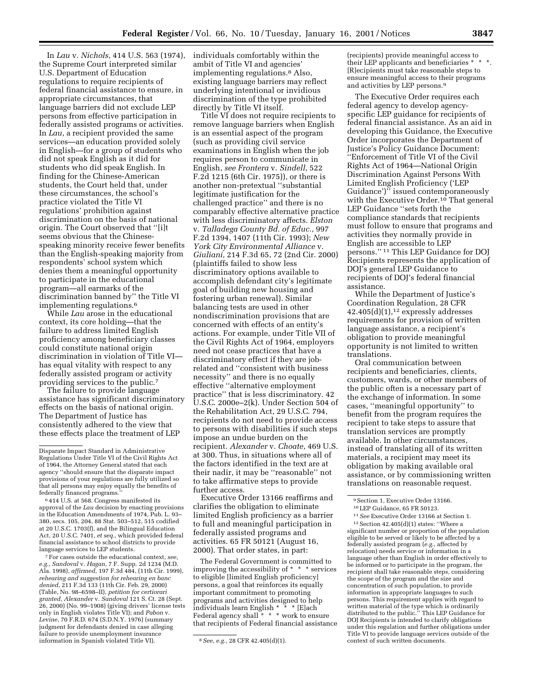In *Lau* v. *Nichols*, 414 U.S. 563 (1974), the Supreme Court interpreted similar U.S. Department of Education regulations to require recipients of federal financial assistance to ensure, in appropriate circumstances, that language barriers did not exclude LEP persons from effective participation in federally assisted programs or activities. In *Lau*, a recipient provided the same services—an education provided solely in English—for a group of students who did not speak English as it did for students who did speak English. In finding for the Chinese-American students, the Court held that, under these circumstances, the school's practice violated the Title VI regulations' prohibition against discrimination on the basis of national origin. The Court observed that ''[i]t seems obvious that the Chinesespeaking minority receive fewer benefits than the English-speaking majority from respondents' school system which denies them a meaningful opportunity to participate in the educational program—all earmarks of the discrimination banned by'' the Title VI implementing regulations.6

While *Lau* arose in the educational context, its core holding—that the failure to address limited English proficiency among beneficiary classes could constitute national origin discrimination in violation of Title VI has equal vitality with respect to any federally assisted program or activity providing services to the public.7

The failure to provide language assistance has significant discriminatory effects on the basis of national origin. The Department of Justice has consistently adhered to the view that these effects place the treatment of LEP

6 414 U.S. at 568. Congress manifested its approval of the *Lau* decision by enacting provisions in the Education Amendments of 1974, Pub. L. 93– 380, secs. 105, 204, 88 Stat. 503–512, 515 codified at 20 U.S.C. 1703(f), and the Bilingual Education Act, 20 U.S.C. 7401, *et seq.*, which provided federal financial assistance to school districts to provide language services to LEP students.

7For cases outside the educational context, *see, e.g., Sandoval* v. *Hagan,* 7 F. Supp. 2d 1234 (M.D. Ala. 1998), *affirmed*, 197 F.3d 484, (11th Cir. 1999), *rehearing and suggestion for rehearing en banc denied*, 211 F.3d 133 (11th Cir. Feb. 29, 2000) (Table, No. 98–6598–II), *petition for certiorari granted, Alexander* v. *Sandoval* 121 S. Ct. 28 (Sept. 26, 2000) (No. 99–1908) (giving drivers' license tests only in English violates Title VI); and *Pabon* v. *Levine*, 70 F.R.D. 674 (S.D.N.Y. 1976) (summary judgment for defendants denied in case alleging failure to provide unemployment insurance information in Spanish violated Title VI). 8*See, e.g.*, 28 CFR 42.405(d)(1).

individuals comfortably within the ambit of Title VI and agencies' implementing regulations.8 Also, existing language barriers may reflect underlying intentional or invidious discrimination of the type prohibited directly by Title VI itself.

Title VI does not require recipients to remove language barriers when English is an essential aspect of the program (such as providing civil service examinations in English when the job requires person to communicate in English, *see Frontera* v. *Sindell*, 522 F.2d 1215 (6th Cir. 1975)), or there is another non-pretextual ''substantial legitimate justification for the challenged practice'' and there is no comparably effective alternative practice with less discriminatory affects. *Elston* v. *Talladega County Bd. of Educ.*, 997 F.2d 1394, 1407 (11th Cir. 1993); *New York City Environmental Alliance* v. *Giuliani,* 214 F.3d 65, 72 (2nd Cir. 2000) (plaintiffs failed to show less discriminatory options available to accomplish defendant city's legitimate goal of building new housing and fostering urban renewal). Similar balancing tests are used in other nondiscrimination provisions that are concerned with effects of an entity's actions. For example, under Title VII of the Civil Rights Act of 1964, employers need not cease practices that have a discriminatory effect if they are jobrelated and ''consistent with business necessity'' and there is no equally effective ''alternative employment practice'' that is less discriminatory. 42 U.S.C. 2000e–2(k). Under Section 504 of the Rehabilitation Act, 29 U.S.C. 794, recipients do not need to provide access to persons with disabilities if such steps impose an undue burden on the recipient. *Alexander* v. *Choate*, 469 U.S. at 300. Thus, in situations where all of the factors identified in the text are at their nadir, it may be ''reasonable'' not to take affirmative steps to provide further access.

Executive Order 13166 reaffirms and clarifies the obligation to eliminate limited English proficiency as a barrier to full and meaningful participation in federally assisted programs and activities. 65 FR 50121 (August 16, 2000). That order states, in part:

The Federal Government is committed to improving the accessibility of \* \* \* services to eligible [limited English proficiency] persons, a goal that reinforces its equally important commitment to promoting programs and activities designed to help individuals learn English \* \* \* [E]ach Federal agency shall \* \* \* work to ensure that recipients of Federal financial assistance

(recipients) provide meaningful access to their LEP applicants and beneficiaries  $^*$ [R]ecipients must take reasonable steps to ensure meaningful access to their programs and activities by LEP persons.9

The Executive Order requires each federal agency to develop agencyspecific LEP guidance for recipients of federal financial assistance. As an aid in developing this Guidance, the Executive Order incorporates the Department of Justice's Policy Guidance Document: ''Enforcement of Title VI of the Civil Rights Act of 1964—National Origin Discrimination Against Persons With Limited English Proficiency ('LEP Guidance')" issued contemporaneously with the Executive Order.<sup>10</sup> That general LEP Guidance ''sets forth the compliance standards that recipients must follow to ensure that programs and activities they normally provide in English are accessible to LEP persons.'' 11 This LEP Guidance for DOJ Recipients represents the application of DOJ's general LEP Guidance to recipients of DOJ's federal financial assistance.

While the Department of Justice's Coordination Regulation, 28 CFR  $42.405(d)(1),$ <sup>12</sup> expressly addresses requirements for provision of written language assistance, a recipient's obligation to provide meaningful opportunity is not limited to written translations.

Oral communication between recipients and beneficiaries, clients, customers, wards, or other members of the public often is a necessary part of the exchange of information. In some cases, ''meaningful opportunity'' to benefit from the program requires the recipient to take steps to assure that translation services are promptly available. In other circumstances, instead of translating all of its written materials, a recipient may meet its obligation by making available oral assistance, or by commissioning written translations on reasonable request.

 $12$  Section 42.405(d)(1) states: "Where a significant number or proportion of the population eligible to be served or likely to be affected by a federally assisted program (*e.g.*, affected by relocation) needs service or information in a language other than English in order effectively to be informed or to participate in the program, the recipient shall take reasonable steps, considering the scope of the program and the size and concentration of such population, to provide information in appropriate languages to such persons. This requirement applies with regard to written material of the type which is ordinarily distributed to the public.'' This LEP Guidance for DOJ Recipients is intended to clarify obligations under this regulation and further obligations under Title VI to provide language services outside of the context of such written documents.

Disparate Impact Standard in Administrative Regulations Under Title VI of the Civil Rights Act of 1964, the Attorney General stated that each agency ''should ensure that the disparate impact provisions of your regulations are fully utilized so that all persons may enjoy equally the benefits of federally financed programs.''

<sup>&</sup>lt;sup>9</sup> Section 1, Executive Order 13166.

<sup>10</sup>LEP Guidance, 65 FR 50123.

<sup>11</sup>*See* Executive Order 13166 at Section 1.